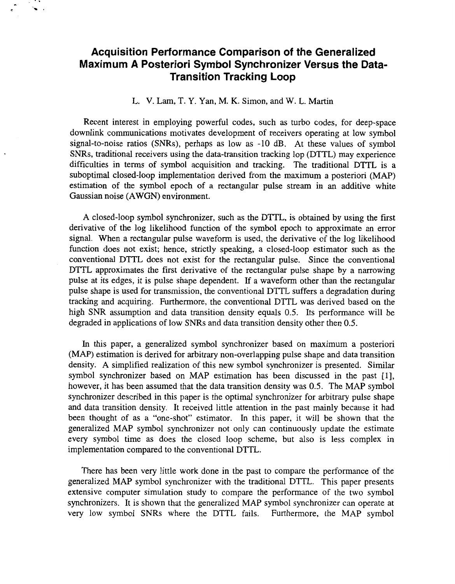## **Acquisition Performance Comparison of the Generalized Maximum A Posteriori Symbol Synchronizer Versus the Data-Transition Tracking Loop**

## L. **V.** Lam, T. Y. Yan, M. K. Simon, and W. L. Martin

Recent interest in employing powerful codes, such as turbo codes, for deep-space downlink communications motivates development of receivers operating at low symbol signal-to-noise ratios (SNRs), perhaps as low as -10 dB. At these values of symbol SNRs, traditional receivers using the data-transition tracking lop (DTTL) may experience difficulties in terms of symbol acquisition and tracking. The traditional DTTL is a suboptimal closed-loop implementation derived from the maximum a posteriori (MAP) estimation of the symbol epoch of a rectangular pulse stream in an additive white Gaussian noise (AWGN) environment.

A closed-loop symbol synchronizer, such as the DTTL, is obtained by using the first derivative of the log likelihood function of the symbol epoch to approximate an error signal. When a rectangular pulse waveform is used, the derivative of the log likelihood function does not exist; hence, strictly speaking, a closed-loop estimator such as the conventional DTTL does not exist for the rectangular pulse. Since the conventional DTTL approximates the first derivative of the rectangular pulse shape by a narrowing pulse at its edges, it is pulse shape dependent. If a waveform other than the rectangular pulse shape is used for transmission, the conventional DTTL suffers a degradation during tracking and acquiring. Furthermore, the conventional DTTL was derived based on the high SNR assumption and data transition density equals 0.5. Its performance will be degraded in applications of low SNRs and data transition density other then 0.5.

In this paper, a generalized symbol synchronizer based on maximum a posteriori (MAP) estimation is derived for arbitrary non-overlapping pulse shape and data transition density. A simplified realization of this new symbol synchronizer is presented. Similar symbol synchronizer based on MAP estimation has been discussed in the past [1], however, it has been assumed that the data transition density was 0.5. The MAP symbol synchronizer described in this paper is the optimal synchronizer for arbitrary pulse shape and data transition density. It received little attention in the past mainly because it had been thought of as a "one-shot" estimator. In this paper, it will be shown that the generalized MAP symbol synchronizer not only can continuously update the estimate every symbol time as does the closed loop scheme, but also is less complex in implementation compared to the conventional DTTL.

There has been very little work done in the past to compare the performance of the generalized MAP symbol synchronizer with the traditional DTTL. This paper presents extensive computer simulation study to compare the performance of the two symbol synchronizers. It is shown that the generalized MAP symbol synchronizer can operate at very low symbol SNRs where the DTTL fails. Furthermore, the MAP symbol